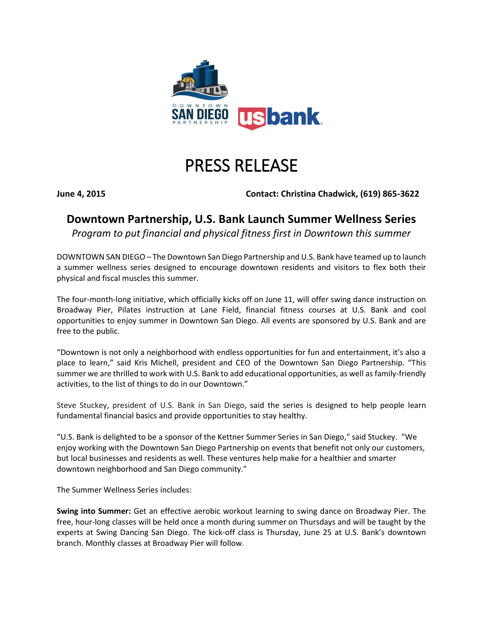

## PRESS RELEASE

**June 4, 2015 Contact: Christina Chadwick, (619) 865-3622** 

## **Downtown Partnership, U.S. Bank Launch Summer Wellness Series**

*Program to put financial and physical fitness first in Downtown this summer*

DOWNTOWN SAN DIEGO – The Downtown San Diego Partnership and U.S. Bank have teamed up to launch a summer wellness series designed to encourage downtown residents and visitors to flex both their physical and fiscal muscles this summer.

The four-month-long initiative, which officially kicks off on June 11, will offer swing dance instruction on Broadway Pier, Pilates instruction at Lane Field, financial fitness courses at U.S. Bank and cool opportunities to enjoy summer in Downtown San Diego. All events are sponsored by U.S. Bank and are free to the public.

"Downtown is not only a neighborhood with endless opportunities for fun and entertainment, it's also a place to learn," said Kris Michell, president and CEO of the Downtown San Diego Partnership. "This summer we are thrilled to work with U.S. Bank to add educational opportunities, as well as family-friendly activities, to the list of things to do in our Downtown."

Steve Stuckey, president of U.S. Bank in San Diego, said the series is designed to help people learn fundamental financial basics and provide opportunities to stay healthy.

"U.S. Bank is delighted to be a sponsor of the Kettner Summer Series in San Diego," said Stuckey. "We enjoy working with the Downtown San Diego Partnership on events that benefit not only our customers, but local businesses and residents as well. These ventures help make for a healthier and smarter downtown neighborhood and San Diego community."

The Summer Wellness Series includes:

**Swing into Summer:** Get an effective aerobic workout learning to swing dance on Broadway Pier. The free, hour-long classes will be held once a month during summer on Thursdays and will be taught by the experts at Swing Dancing San Diego. The kick-off class is Thursday, June 25 at U.S. Bank's downtown branch. Monthly classes at Broadway Pier will follow.